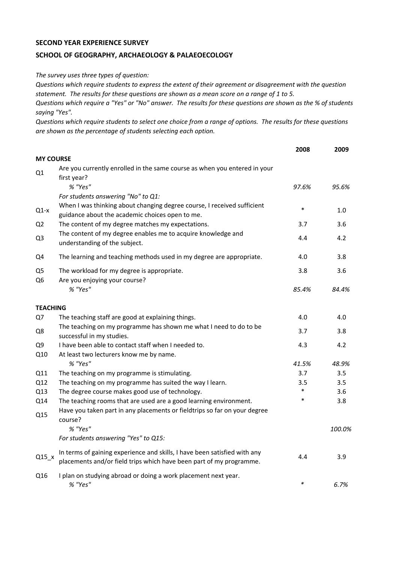## **SECOND YEAR EXPERIENCE SURVEY**

## **SCHOOL OF GEOGRAPHY, ARCHAEOLOGY & PALAEOECOLOGY**

*The survey uses three types of question:*

*Questions which require students to express the extent of their agreement or disagreement with the question statement. The results for these questions are shown as a mean score on a range of 1 to 5.*

*Questions which require a "Yes" or "No" answer. The results for these questions are shown as the % of students saying "Yes".*

*Questions which require students to select one choice from a range of options. The results for these questions are shown as the percentage of students selecting each option.*

|                      |                                                                                                                                                  | 2008   | 2009   |
|----------------------|--------------------------------------------------------------------------------------------------------------------------------------------------|--------|--------|
| <b>MY COURSE</b>     |                                                                                                                                                  |        |        |
| Q1                   | Are you currently enrolled in the same course as when you entered in your<br>first year?                                                         |        |        |
|                      | % "Yes"                                                                                                                                          | 97.6%  | 95.6%  |
|                      | For students answering "No" to Q1:                                                                                                               |        |        |
| $Q1-x$               | When I was thinking about changing degree course, I received sufficient<br>guidance about the academic choices open to me.                       | $\ast$ | 1.0    |
| Q <sub>2</sub>       | The content of my degree matches my expectations.                                                                                                | 3.7    | 3.6    |
| Q3                   | The content of my degree enables me to acquire knowledge and<br>understanding of the subject.                                                    | 4.4    | 4.2    |
| Q4                   | The learning and teaching methods used in my degree are appropriate.                                                                             | 4.0    | 3.8    |
| Q <sub>5</sub><br>Q6 | The workload for my degree is appropriate.<br>Are you enjoying your course?                                                                      | 3.8    | 3.6    |
|                      | % "Yes"                                                                                                                                          | 85.4%  | 84.4%  |
| <b>TEACHING</b>      |                                                                                                                                                  |        |        |
| Q7                   | The teaching staff are good at explaining things.                                                                                                | 4.0    | 4.0    |
| Q8                   | The teaching on my programme has shown me what I need to do to be<br>successful in my studies.                                                   | 3.7    | 3.8    |
| Q9                   | I have been able to contact staff when I needed to.                                                                                              | 4.3    | 4.2    |
| Q10                  | At least two lecturers know me by name.                                                                                                          |        |        |
|                      | % "Yes"                                                                                                                                          | 41.5%  | 48.9%  |
| Q11                  | The teaching on my programme is stimulating.                                                                                                     | 3.7    | 3.5    |
| Q12                  | The teaching on my programme has suited the way I learn.                                                                                         | 3.5    | 3.5    |
| Q13                  | The degree course makes good use of technology.                                                                                                  | $\ast$ | 3.6    |
| Q14                  | The teaching rooms that are used are a good learning environment.                                                                                | $\ast$ | 3.8    |
| Q15                  | Have you taken part in any placements or fieldtrips so far on your degree<br>course?                                                             |        |        |
|                      | % "Yes"                                                                                                                                          |        | 100.0% |
|                      | For students answering "Yes" to Q15:                                                                                                             |        |        |
| $Q15_x$              | In terms of gaining experience and skills, I have been satisfied with any<br>placements and/or field trips which have been part of my programme. | 4.4    | 3.9    |
| Q16                  | I plan on studying abroad or doing a work placement next year.<br>% "Yes"                                                                        | $\ast$ | 6.7%   |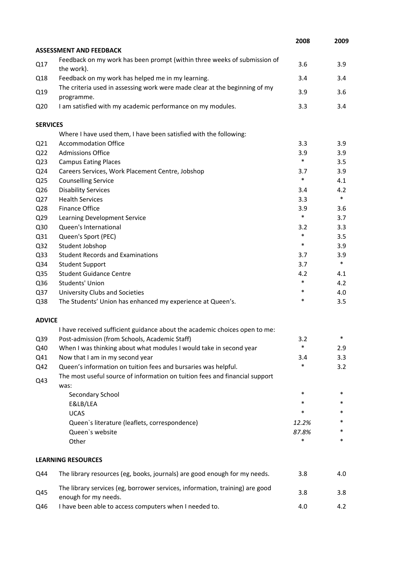|                 |                                                                                                      | 2008   | 2009   |
|-----------------|------------------------------------------------------------------------------------------------------|--------|--------|
|                 | <b>ASSESSMENT AND FEEDBACK</b>                                                                       |        |        |
| Q17             | Feedback on my work has been prompt (within three weeks of submission of<br>the work).               | 3.6    | 3.9    |
| Q18             | Feedback on my work has helped me in my learning.                                                    | 3.4    | 3.4    |
| Q19             | The criteria used in assessing work were made clear at the beginning of my<br>programme.             | 3.9    | 3.6    |
| Q <sub>20</sub> | I am satisfied with my academic performance on my modules.                                           | 3.3    | 3.4    |
| <b>SERVICES</b> |                                                                                                      |        |        |
|                 | Where I have used them, I have been satisfied with the following:                                    |        |        |
| Q <sub>21</sub> | <b>Accommodation Office</b>                                                                          | 3.3    | 3.9    |
| Q <sub>22</sub> | <b>Admissions Office</b>                                                                             | 3.9    | 3.9    |
| Q <sub>23</sub> | <b>Campus Eating Places</b>                                                                          | $\ast$ | 3.5    |
| Q24             | Careers Services, Work Placement Centre, Jobshop                                                     | 3.7    | 3.9    |
| Q <sub>25</sub> | <b>Counselling Service</b>                                                                           | $\ast$ | 4.1    |
| Q26             | <b>Disability Services</b>                                                                           | 3.4    | 4.2    |
| Q27             | <b>Health Services</b>                                                                               | 3.3    | $\ast$ |
| Q28             | Finance Office                                                                                       | 3.9    | 3.6    |
| Q <sub>29</sub> | Learning Development Service                                                                         | $\ast$ | 3.7    |
| Q30             | Queen's International                                                                                | 3.2    | 3.3    |
| Q31             | Queen's Sport (PEC)                                                                                  | *      | 3.5    |
| Q <sub>32</sub> | Student Jobshop                                                                                      | $\ast$ | 3.9    |
| Q <sub>33</sub> | <b>Student Records and Examinations</b>                                                              | 3.7    | 3.9    |
| Q34             | <b>Student Support</b>                                                                               | 3.7    | $\ast$ |
| Q <sub>35</sub> | <b>Student Guidance Centre</b>                                                                       | 4.2    | 4.1    |
| Q36             | Students' Union                                                                                      | $\ast$ | 4.2    |
| Q <sub>37</sub> | University Clubs and Societies                                                                       | $\ast$ | 4.0    |
| Q38             | The Students' Union has enhanced my experience at Queen's.                                           | *      | 3.5    |
| <b>ADVICE</b>   |                                                                                                      |        |        |
|                 | I have received sufficient guidance about the academic choices open to me:                           |        |        |
| Q39             | Post-admission (from Schools, Academic Staff)                                                        | 3.2    |        |
| Q40             | When I was thinking about what modules I would take in second year                                   | *      | 2.9    |
| Q41             | Now that I am in my second year                                                                      | 3.4    | 3.3    |
| Q42             | Queen's information on tuition fees and bursaries was helpful.                                       | *      | 3.2    |
| Q43             | The most useful source of information on tuition fees and financial support<br>was:                  |        |        |
|                 | Secondary School                                                                                     | $\ast$ | $\ast$ |
|                 | E&LB/LEA                                                                                             | *      | *      |
|                 | <b>UCAS</b>                                                                                          | *      | *      |
|                 | Queen's literature (leaflets, correspondence)                                                        | 12.2%  | *      |
|                 | Queen's website                                                                                      | 87.8%  | *      |
|                 | Other                                                                                                | *      | *      |
|                 | <b>LEARNING RESOURCES</b>                                                                            |        |        |
| Q44             | The library resources (eg, books, journals) are good enough for my needs.                            | 3.8    | 4.0    |
| Q45             | The library services (eg, borrower services, information, training) are good<br>enough for my needs. | 3.8    | 3.8    |
| Q46             | I have been able to access computers when I needed to.                                               | 4.0    | 4.2    |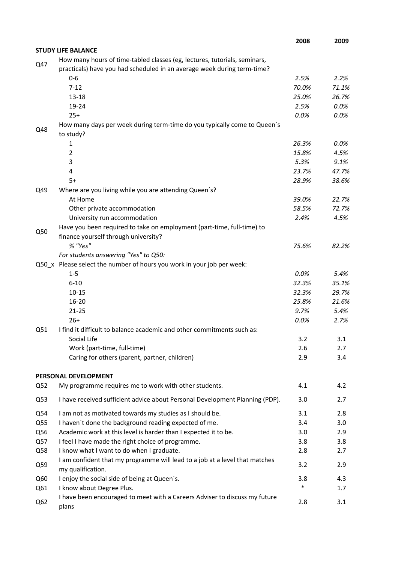|                 |                                                                                                                                                      | 2008          | 2009           |
|-----------------|------------------------------------------------------------------------------------------------------------------------------------------------------|---------------|----------------|
|                 | <b>STUDY LIFE BALANCE</b>                                                                                                                            |               |                |
| Q47             | How many hours of time-tabled classes (eg, lectures, tutorials, seminars,<br>practicals) have you had scheduled in an average week during term-time? |               |                |
|                 | $0 - 6$                                                                                                                                              | 2.5%          | 2.2%           |
|                 | $7 - 12$                                                                                                                                             | 70.0%         | 71.1%          |
|                 | $13 - 18$                                                                                                                                            | 25.0%         | 26.7%          |
|                 | 19-24                                                                                                                                                | 2.5%          | 0.0%           |
|                 | $25+$                                                                                                                                                | 0.0%          | 0.0%           |
| Q48             | How many days per week during term-time do you typically come to Queen's<br>to study?                                                                |               |                |
|                 | 1                                                                                                                                                    | 26.3%         | $0.0\%$        |
|                 | $\overline{2}$                                                                                                                                       | 15.8%         | 4.5%           |
|                 | 3                                                                                                                                                    | 5.3%          | 9.1%           |
|                 | 4                                                                                                                                                    | 23.7%         | 47.7%          |
|                 | $5+$                                                                                                                                                 | 28.9%         | 38.6%          |
| Q49             | Where are you living while you are attending Queen's?                                                                                                |               |                |
|                 | At Home                                                                                                                                              | 39.0%         | 22.7%          |
|                 | Other private accommodation                                                                                                                          | 58.5%         | 72.7%          |
|                 | University run accommodation                                                                                                                         | 2.4%          | 4.5%           |
| Q50             | Have you been required to take on employment (part-time, full-time) to                                                                               |               |                |
|                 | finance yourself through university?                                                                                                                 |               |                |
|                 | % "Yes"                                                                                                                                              | 75.6%         | 82.2%          |
|                 | For students answering "Yes" to Q50:                                                                                                                 |               |                |
|                 | Q50_x Please select the number of hours you work in your job per week:                                                                               |               |                |
|                 | $1 - 5$                                                                                                                                              | 0.0%<br>32.3% | 5.4%           |
|                 | $6 - 10$<br>$10 - 15$                                                                                                                                | 32.3%         | 35.1%<br>29.7% |
|                 | 16-20                                                                                                                                                | 25.8%         | 21.6%          |
|                 | $21 - 25$                                                                                                                                            | 9.7%          | 5.4%           |
|                 | $26+$                                                                                                                                                | 0.0%          | 2.7%           |
| Q51             | I find it difficult to balance academic and other commitments such as:                                                                               |               |                |
|                 | Social Life                                                                                                                                          | 3.2           | 3.1            |
|                 | Work (part-time, full-time)                                                                                                                          | 2.6           | 2.7            |
|                 | Caring for others (parent, partner, children)                                                                                                        | 2.9           | 3.4            |
|                 | PERSONAL DEVELOPMENT                                                                                                                                 |               |                |
| Q52             | My programme requires me to work with other students.                                                                                                | 4.1           | 4.2            |
|                 |                                                                                                                                                      |               |                |
| Q53             | I have received sufficient advice about Personal Development Planning (PDP).                                                                         | 3.0           | 2.7            |
| Q54             | I am not as motivated towards my studies as I should be.                                                                                             | 3.1           | 2.8            |
| Q55             | I haven't done the background reading expected of me.                                                                                                | 3.4           | 3.0            |
| Q56             | Academic work at this level is harder than I expected it to be.                                                                                      | 3.0           | 2.9            |
| Q57             | I feel I have made the right choice of programme.                                                                                                    | 3.8           | 3.8            |
| Q58             | I know what I want to do when I graduate.                                                                                                            | 2.8           | 2.7            |
| Q59             | I am confident that my programme will lead to a job at a level that matches<br>my qualification.                                                     | 3.2           | 2.9            |
| Q60             | I enjoy the social side of being at Queen's.                                                                                                         | 3.8           | 4.3            |
| Q61             | I know about Degree Plus.                                                                                                                            | $\ast$        | 1.7            |
| Q <sub>62</sub> | I have been encouraged to meet with a Careers Adviser to discuss my future<br>plans                                                                  | 2.8           | 3.1            |